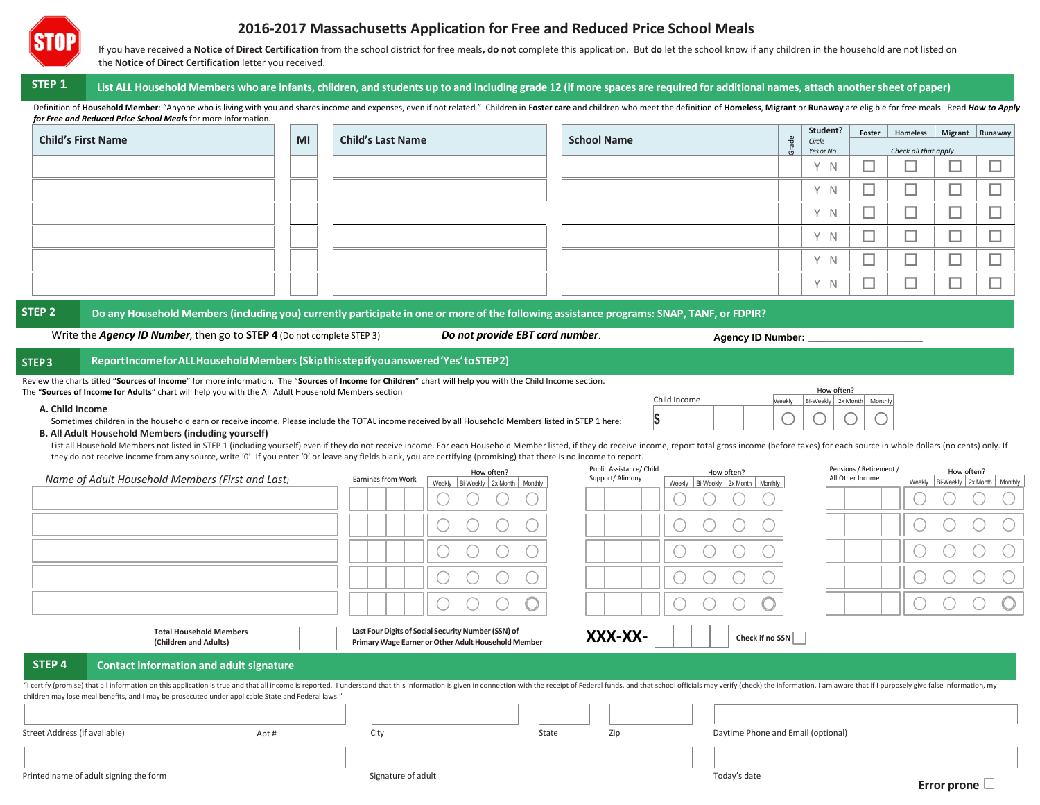

## **2016-2017 Massachusetts Application for Free and Reduced Price School Meals**

If you have received a Notice of Direct Certification from the school district for free meals, do not complete this application. But do let the school know if any children in the household are not listed on the **Notice of Direct Certification** letter you received.

## STEP 1 List ALL Household Members who are infants, children, and students up to and including grade 12 (if more spaces are required for additional names, attach another sheet of paper)

Definition of Household Member: "Anyone who is living with you and shares income and expenses, even if not related." Children in Foster care and children who meet the definition of Homeless, Migrant or Runaway are eligible *for Free and Reduced Price School Meals* for more information.

|                   | <b>Child's First Name</b>                                                                                                                                                                                                                                                                    | MI | <b>Child's Last Name</b> |                                   | <b>School Name</b>                          |                                         | Grade  | Student?<br>Circle         | Foster                                      | Homeless             |            | Migrant Runaway                   |
|-------------------|----------------------------------------------------------------------------------------------------------------------------------------------------------------------------------------------------------------------------------------------------------------------------------------------|----|--------------------------|-----------------------------------|---------------------------------------------|-----------------------------------------|--------|----------------------------|---------------------------------------------|----------------------|------------|-----------------------------------|
|                   |                                                                                                                                                                                                                                                                                              |    |                          |                                   |                                             |                                         |        | Yes or No                  |                                             | Check all that apply |            |                                   |
|                   |                                                                                                                                                                                                                                                                                              |    |                          |                                   |                                             |                                         |        | Y N                        |                                             |                      |            | ┙                                 |
|                   |                                                                                                                                                                                                                                                                                              |    |                          |                                   |                                             |                                         |        | Y N                        |                                             |                      |            |                                   |
|                   |                                                                                                                                                                                                                                                                                              |    |                          |                                   |                                             |                                         |        | Y N                        |                                             |                      |            |                                   |
|                   |                                                                                                                                                                                                                                                                                              |    |                          |                                   |                                             |                                         |        | Y N                        |                                             |                      |            | ┙                                 |
|                   |                                                                                                                                                                                                                                                                                              |    |                          |                                   |                                             |                                         |        | Y N                        |                                             |                      | ┙          |                                   |
|                   |                                                                                                                                                                                                                                                                                              |    |                          |                                   |                                             |                                         |        | Y N                        |                                             |                      |            |                                   |
|                   |                                                                                                                                                                                                                                                                                              |    |                          |                                   |                                             |                                         |        |                            |                                             |                      |            |                                   |
|                   | Report Income for ALL Household Members (Skipthisstepifyou answered 'Yes' to STEP2)                                                                                                                                                                                                          |    |                          |                                   |                                             |                                         |        |                            |                                             |                      |            |                                   |
|                   | Review the charts titled "Sources of Income" for more information. The "Sources of Income for Children" chart will help you with the Child Income section.                                                                                                                                   |    |                          |                                   |                                             |                                         |        |                            |                                             |                      |            |                                   |
|                   | The "Sources of Income for Adults" chart will help you with the All Adult Household Members section                                                                                                                                                                                          |    |                          |                                   |                                             |                                         |        | How often?                 |                                             |                      |            |                                   |
| A. Child Income   |                                                                                                                                                                                                                                                                                              |    |                          |                                   |                                             | Child Income                            | Weekly | Bi-Weekly 2x Month Monthly |                                             |                      |            |                                   |
|                   | Sometimes children in the household earn or receive income. Please include the TOTAL income received by all Household Members listed in STEP 1 here:                                                                                                                                         |    |                          |                                   |                                             | \$                                      |        |                            |                                             |                      |            |                                   |
|                   | <b>B. All Adult Household Members (including yourself)</b><br>List all Household Members not listed in STEP 1 (including yourself) even if they do not receive income. For each Household Member listed, if they do receive income, report total gross income (before taxes) for each source |    |                          |                                   |                                             |                                         |        |                            |                                             |                      |            |                                   |
|                   | they do not receive income from any source, write '0'. If you enter '0' or leave any fields blank, you are certifying (promising) that there is no income to report.                                                                                                                         |    |                          |                                   |                                             |                                         |        |                            |                                             |                      |            |                                   |
|                   | Name of Adult Household Members (First and Last)                                                                                                                                                                                                                                             |    | Earnings from Work       | How often?                        | Public Assistance/ Child<br>Support/Alimony | How often?                              |        |                            | Pensions / Retirement /<br>All Other Income |                      | How often? |                                   |
|                   |                                                                                                                                                                                                                                                                                              |    |                          | Weekly Bi-Weekly 2x Month Monthly |                                             | Weekly   Bi-Weekly   2x Month   Monthly |        |                            |                                             |                      |            | Weekly Bi-Weekly 2x Month Monthly |
| STEP <sub>3</sub> |                                                                                                                                                                                                                                                                                              |    |                          |                                   |                                             |                                         |        |                            |                                             |                      |            |                                   |

"I certify (promise) that all information on this application is true and that all income is reported. I understand that this information is given in connection with the receipt of Federal funds, and that school officials children may lose meal benefits, and I may be prosecuted under applicable State and Federal laws."

**STEP 4 Contact information and adult signature**

**Total Household Members (Children and Adults)**

| - "Children may lose meal benefits, and I may be prosecuted under applicable State and Federal laws |       |                    |       |     |                                    |  |
|-----------------------------------------------------------------------------------------------------|-------|--------------------|-------|-----|------------------------------------|--|
| Street Address (if available)                                                                       | Apt # | City               | State | Zip | Daytime Phone and Email (optional) |  |
|                                                                                                     |       |                    |       |     |                                    |  |
| Printed name of adult signing the form                                                              |       | Signature of adult |       |     | Today's date                       |  |

Primary Wage Earner or Other Adult Household Member<br>Primary Wage Earner or Other Adult Household Member<br>**Check if no SSN** 

**XXX-XX-**

**Last Four Digits of Social Security Number (SSN) of**